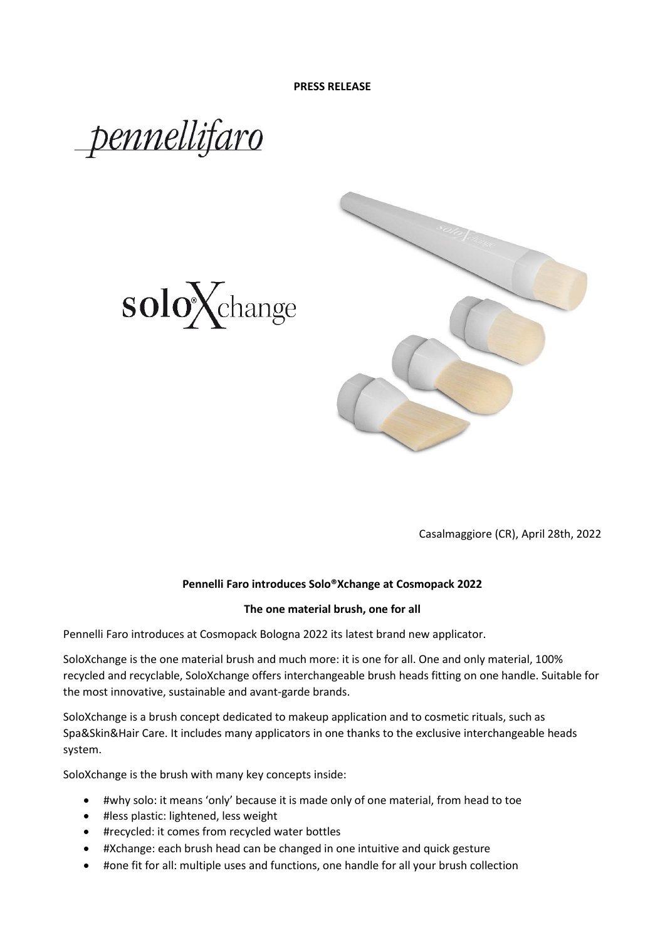





Casalmaggiore (CR), April 28th, 2022

## **Pennelli Faro introduces Solo®Xchange at Cosmopack 2022**

## **The one material brush, one for all**

Pennelli Faro introduces at Cosmopack Bologna 2022 its latest brand new applicator.

SoloXchange is the one material brush and much more: it is one for all. One and only material, 100% recycled and recyclable, SoloXchange offers interchangeable brush heads fitting on one handle. Suitable for the most innovative, sustainable and avant-garde brands.

SoloXchange is a brush concept dedicated to makeup application and to cosmetic rituals, such as Spa&Skin&Hair Care. It includes many applicators in one thanks to the exclusive interchangeable heads system.

SoloXchange is the brush with many key concepts inside:

- #why solo: it means 'only' because it is made only of one material, from head to toe
- #less plastic: lightened, less weight
- #recycled: it comes from recycled water bottles
- #Xchange: each brush head can be changed in one intuitive and quick gesture
- #one fit for all: multiple uses and functions, one handle for all your brush collection